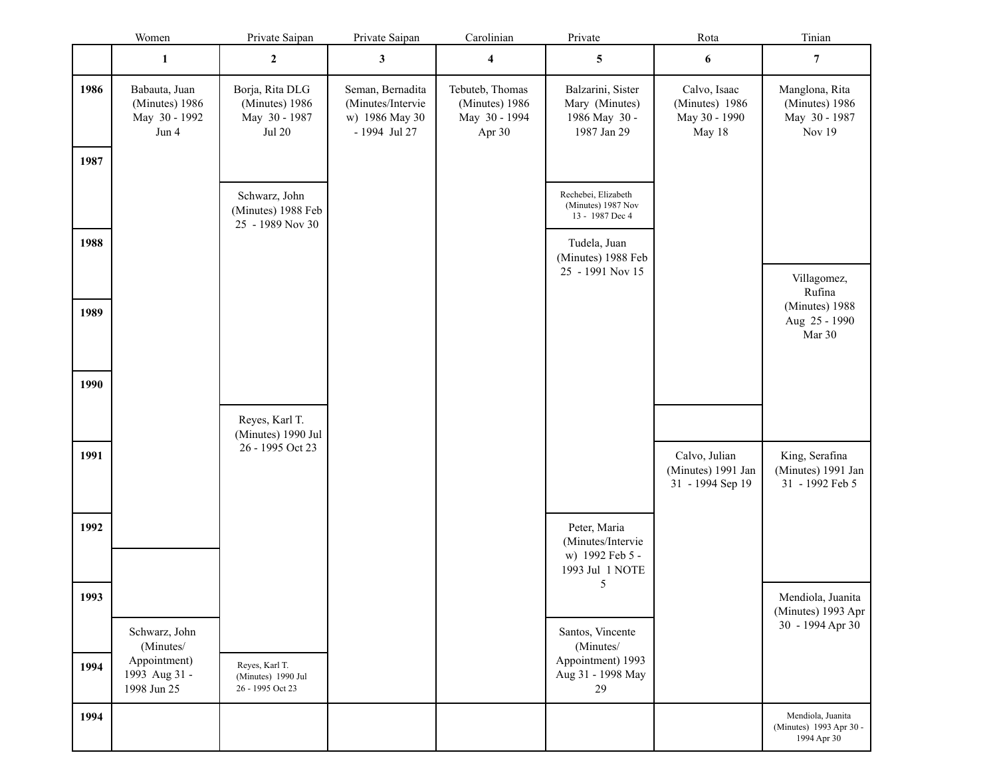|      | Women                                                     | Private Saipan                                                   | Private Saipan                                                           | Carolinian                                                   | Private                                                                 | Rota                                                      | Tinian                                                      |
|------|-----------------------------------------------------------|------------------------------------------------------------------|--------------------------------------------------------------------------|--------------------------------------------------------------|-------------------------------------------------------------------------|-----------------------------------------------------------|-------------------------------------------------------------|
|      | $\mathbf{1}$                                              | $\boldsymbol{2}$                                                 | $\mathbf{3}$                                                             | $\overline{\mathbf{4}}$                                      | 5                                                                       | 6                                                         | $\overline{7}$                                              |
| 1986 | Babauta, Juan<br>(Minutes) 1986<br>May 30 - 1992<br>Jun 4 | Borja, Rita DLG<br>(Minutes) 1986<br>May 30 - 1987<br>Jul $20\,$ | Seman, Bernadita<br>(Minutes/Intervie<br>w) 1986 May 30<br>- 1994 Jul 27 | Tebuteb, Thomas<br>(Minutes) 1986<br>May 30 - 1994<br>Apr 30 | Balzarini, Sister<br>Mary (Minutes)<br>1986 May 30 -<br>1987 Jan 29     | Calvo, Isaac<br>(Minutes) 1986<br>May 30 - 1990<br>May 18 | Manglona, Rita<br>(Minutes) 1986<br>May 30 - 1987<br>Nov 19 |
| 1987 |                                                           |                                                                  |                                                                          |                                                              |                                                                         |                                                           |                                                             |
|      |                                                           | Schwarz, John<br>(Minutes) 1988 Feb<br>25 - 1989 Nov 30          |                                                                          |                                                              | Rechebei, Elizabeth<br>(Minutes) 1987 Nov<br>13 - 1987 Dec 4            |                                                           |                                                             |
| 1988 |                                                           |                                                                  |                                                                          |                                                              | Tudela, Juan<br>(Minutes) 1988 Feb<br>25 - 1991 Nov 15                  |                                                           | Villagomez,<br>Rufina                                       |
| 1989 |                                                           |                                                                  |                                                                          |                                                              |                                                                         |                                                           | (Minutes) 1988<br>Aug 25 - 1990<br>Mar 30                   |
| 1990 |                                                           |                                                                  |                                                                          |                                                              |                                                                         |                                                           |                                                             |
|      |                                                           | Reyes, Karl T.<br>(Minutes) 1990 Jul<br>26 - 1995 Oct 23         |                                                                          |                                                              |                                                                         |                                                           |                                                             |
| 1991 |                                                           |                                                                  |                                                                          |                                                              |                                                                         | Calvo, Julian<br>(Minutes) 1991 Jan<br>31 - 1994 Sep 19   | King, Serafina<br>(Minutes) 1991 Jan<br>31 - 1992 Feb 5     |
| 1992 |                                                           |                                                                  |                                                                          |                                                              | Peter, Maria<br>(Minutes/Intervie<br>w) 1992 Feb 5 -<br>1993 Jul 1 NOTE |                                                           |                                                             |
| 1993 |                                                           |                                                                  |                                                                          |                                                              | 5                                                                       |                                                           | Mendiola, Juanita<br>(Minutes) 1993 Apr                     |
|      | Schwarz, John<br>(Minutes/<br>Appointment)                |                                                                  |                                                                          |                                                              | Santos, Vincente<br>(Minutes/<br>Appointment) 1993                      |                                                           | 30 - 1994 Apr 30                                            |
| 1994 | 1993 Aug 31 -<br>1998 Jun 25                              | Reyes, Karl T.<br>(Minutes) 1990 Jul<br>26 - 1995 Oct 23         |                                                                          |                                                              | Aug 31 - 1998 May<br>29                                                 |                                                           |                                                             |
| 1994 |                                                           |                                                                  |                                                                          |                                                              |                                                                         |                                                           | Mendiola, Juanita<br>(Minutes) 1993 Apr 30 -<br>1994 Apr 30 |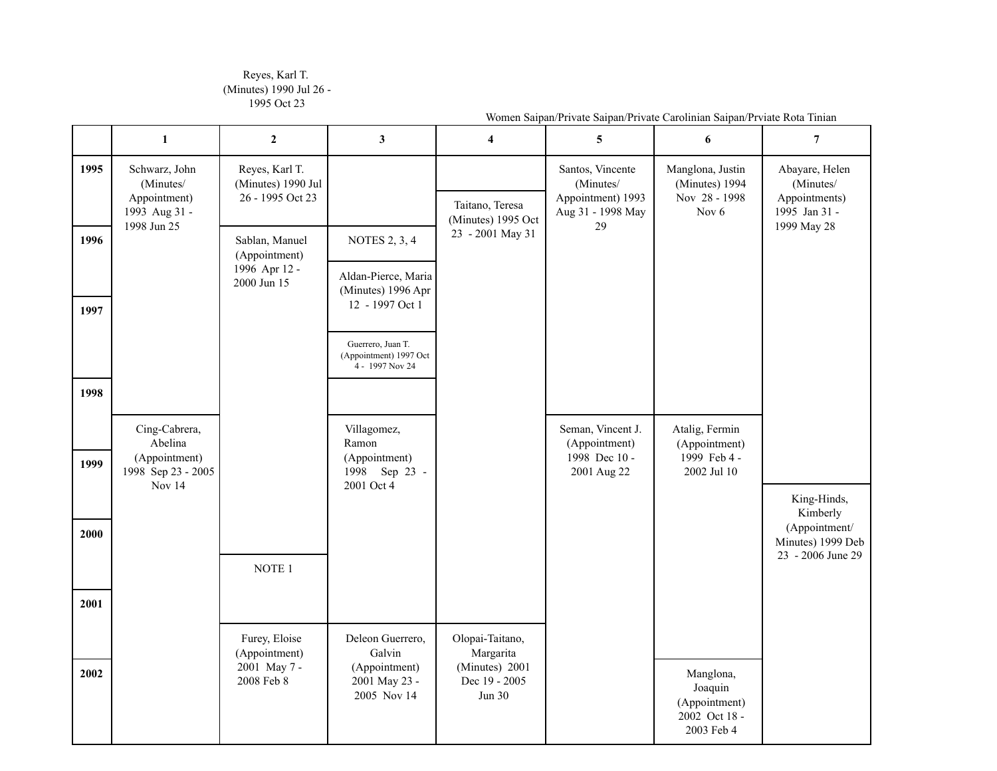## Reyes, Karl T. (Minutes) 1990 Jul 26 - 1995 Oct 23

|      | $\mathbf{1}$                                                                     | $\boldsymbol{2}$                                         | 3                                                                    | $\overline{4}$                                   | 5                                                                       | 6                                                                       | $\overline{7}$                                                |
|------|----------------------------------------------------------------------------------|----------------------------------------------------------|----------------------------------------------------------------------|--------------------------------------------------|-------------------------------------------------------------------------|-------------------------------------------------------------------------|---------------------------------------------------------------|
| 1995 | Schwarz, John<br>(Minutes/<br>Appointment)<br>1993 Aug 31 -                      | Reyes, Karl T.<br>(Minutes) 1990 Jul<br>26 - 1995 Oct 23 |                                                                      | Taitano, Teresa<br>(Minutes) 1995 Oct            | Santos, Vincente<br>(Minutes/<br>Appointment) 1993<br>Aug 31 - 1998 May | Manglona, Justin<br>(Minutes) 1994<br>Nov 28 - 1998<br>Nov <sub>6</sub> | Abayare, Helen<br>(Minutes/<br>Appointments)<br>1995 Jan 31 - |
| 1996 | 1998 Jun 25                                                                      | Sablan, Manuel<br>(Appointment)                          | <b>NOTES 2, 3, 4</b>                                                 | 23 - 2001 May 31                                 | 29                                                                      |                                                                         | 1999 May 28                                                   |
|      |                                                                                  | 1996 Apr 12 -<br>2000 Jun 15                             | Aldan-Pierce, Maria<br>(Minutes) 1996 Apr                            |                                                  |                                                                         |                                                                         |                                                               |
| 1997 |                                                                                  |                                                          | 12 - 1997 Oct 1                                                      |                                                  |                                                                         |                                                                         |                                                               |
|      |                                                                                  |                                                          | Guerrero, Juan T.<br>(Appointment) 1997 Oct<br>4 - 1997 Nov 24       |                                                  |                                                                         |                                                                         |                                                               |
| 1998 |                                                                                  |                                                          |                                                                      |                                                  |                                                                         |                                                                         |                                                               |
| 1999 | Cing-Cabrera,<br>Abelina<br>(Appointment)<br>1998 Sep 23 - 2005<br><b>Nov 14</b> |                                                          | Villagomez,<br>Ramon<br>(Appointment)<br>1998 Sep 23 -<br>2001 Oct 4 |                                                  | Seman, Vincent J.<br>(Appointment)<br>1998 Dec 10 -<br>2001 Aug 22      | Atalig, Fermin<br>(Appointment)<br>1999 Feb 4 -<br>2002 Jul 10          |                                                               |
| 2000 |                                                                                  |                                                          |                                                                      |                                                  |                                                                         |                                                                         | King-Hinds,<br>Kimberly<br>(Appointment/<br>Minutes) 1999 Deb |
|      |                                                                                  | NOTE 1                                                   |                                                                      |                                                  |                                                                         |                                                                         | 23 - 2006 June 29                                             |
| 2001 |                                                                                  |                                                          |                                                                      |                                                  |                                                                         |                                                                         |                                                               |
|      |                                                                                  | Furey, Eloise<br>(Appointment)                           | Deleon Guerrero,<br>Galvin                                           | Olopai-Taitano,<br>Margarita                     |                                                                         |                                                                         |                                                               |
| 2002 |                                                                                  | 2001 May 7 -<br>2008 Feb 8                               | (Appointment)<br>2001 May 23 -<br>2005 Nov 14                        | (Minutes) 2001<br>Dec 19 - 2005<br><b>Jun 30</b> |                                                                         | Manglona,<br>Joaquin<br>(Appointment)<br>2002 Oct 18 -<br>2003 Feb 4    |                                                               |

Women Saipan/Private Saipan/Private Carolinian Saipan/Prviate Rota Tinian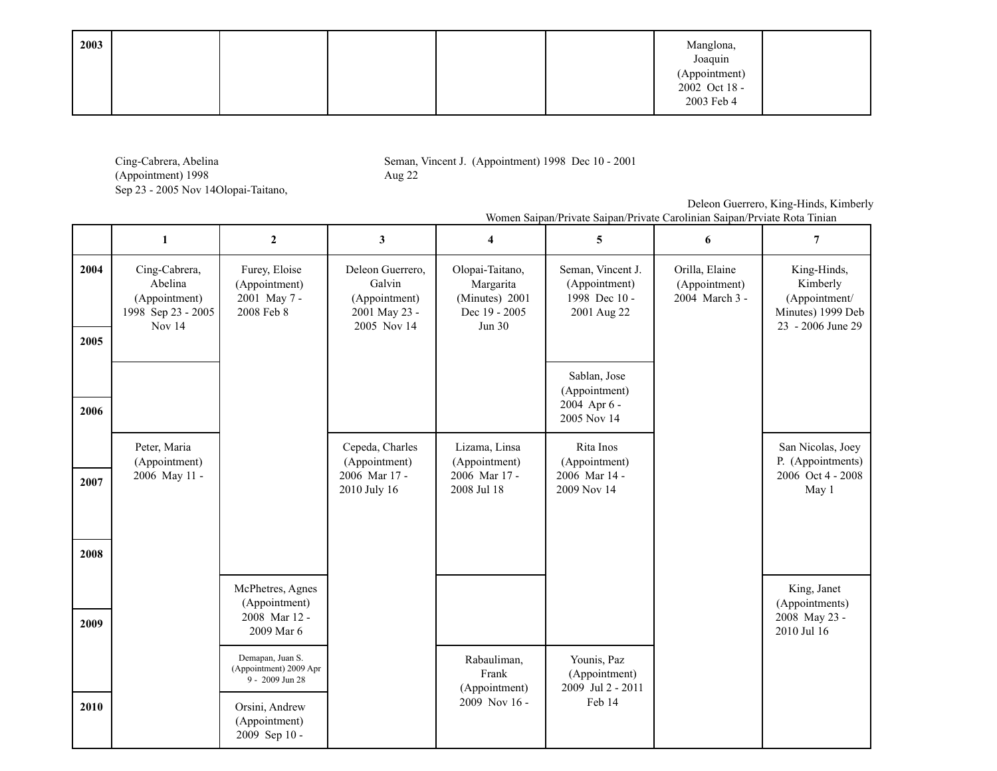| 2003 |  |  | Manglona,                                 |  |
|------|--|--|-------------------------------------------|--|
|      |  |  | Joaquin<br>(Appointment)<br>2002 Oct 18 - |  |
|      |  |  | 2003 Feb 4                                |  |

Cing-Cabrera, Abelina (Appointment) 1998 Sep 23 - 2005 Nov 14Olopai-Taitano, Seman, Vincent J. (Appointment) 1998 Dec 10 - 2001 Aug 22

Deleon Guerrero, King-Hinds, Kimberly

|                                                        |                                                              |                                                                             |                                                                             | wonich Salpan/I flvatc Salpan/I flvatc Cafolinian Salpan/I fviatc Kota Tillian                                                         |                                                   |                                                                                    |
|--------------------------------------------------------|--------------------------------------------------------------|-----------------------------------------------------------------------------|-----------------------------------------------------------------------------|----------------------------------------------------------------------------------------------------------------------------------------|---------------------------------------------------|------------------------------------------------------------------------------------|
|                                                        |                                                              |                                                                             |                                                                             | 5                                                                                                                                      |                                                   |                                                                                    |
| Cabrera,<br>oelina<br>intment)<br>p 23 - 2005<br>yv 14 | Furey, Eloise<br>(Appointment)<br>2001 May 7 -<br>2008 Feb 8 | Deleon Guerrero.<br>Galvin<br>(Appointment)<br>2001 May 23 -<br>2005 Nov 14 | Olopai-Taitano,<br>Margarita<br>(Minutes) 2001<br>Dec 19 - 2005<br>Jun $30$ | Seman, Vincent J.<br>(Appointment)<br>1998 Dec 10 -<br>2001 Aug 22<br>Sablan, Jose<br>(Appointment)<br>$2004$ Apr $6 -$<br>2005 Nov 14 | Orilla, Elaine<br>(Appointment)<br>2004 March 3 - | King-Hinds,<br>Kimberly<br>(Appointment/<br>Minutes) 1999 Deb<br>23 - 2006 June 29 |
|                                                        |                                                              |                                                                             |                                                                             |                                                                                                                                        |                                                   |                                                                                    |

## Women Saipan/Private Saipan/Private Carolinian Saipan/Prviate Rota Tinian

| 2004 | Cing-Cabrera,<br>Abelina<br>(Appointment)<br>1998 Sep 23 - 2005<br>Nov 14 | Furey, Eloise<br>(Appointment)<br>2001 May 7 -<br>2008 Feb 8  | Deleon Guerrero,<br>Galvin<br>(Appointment)<br>2001 May 23 -<br>2005 Nov 14 | Olopai-Taitano,<br>Margarita<br>(Minutes) 2001<br>Dec 19 - 2005<br>Jun 30 | Seman, Vincent J.<br>(Appointment)<br>1998 Dec 10 -<br>2001 Aug 22 | Orilla, Elaine<br>(Appointment)<br>2004 March 3 - | King-Hinds,<br>Kimberly<br>(Appointment/<br>Minutes) 1999 Deb<br>23 - 2006 June 29 |
|------|---------------------------------------------------------------------------|---------------------------------------------------------------|-----------------------------------------------------------------------------|---------------------------------------------------------------------------|--------------------------------------------------------------------|---------------------------------------------------|------------------------------------------------------------------------------------|
| 2005 |                                                                           |                                                               |                                                                             |                                                                           |                                                                    |                                                   |                                                                                    |
| 2006 |                                                                           |                                                               |                                                                             |                                                                           | Sablan, Jose<br>(Appointment)<br>2004 Apr 6 -<br>2005 Nov 14       |                                                   |                                                                                    |
|      | Peter, Maria<br>(Appointment)                                             |                                                               | Cepeda, Charles<br>(Appointment)                                            | Lizama, Linsa<br>(Appointment)                                            | Rita Inos<br>(Appointment)                                         |                                                   | San Nicolas, Joey<br>P. (Appointments)                                             |
| 2007 | 2006 May 11 -                                                             |                                                               | 2006 Mar 17 -<br>2010 July 16                                               | 2006 Mar 17 -<br>2008 Jul 18                                              | 2006 Mar 14 -<br>2009 Nov 14                                       |                                                   | 2006 Oct 4 - 2008<br>May 1                                                         |
|      |                                                                           |                                                               |                                                                             |                                                                           |                                                                    |                                                   |                                                                                    |
| 2008 |                                                                           |                                                               |                                                                             |                                                                           |                                                                    |                                                   |                                                                                    |
|      |                                                                           | McPhetres, Agnes<br>(Appointment)                             |                                                                             |                                                                           |                                                                    |                                                   | King, Janet                                                                        |
| 2009 |                                                                           | 2008 Mar 12 -<br>2009 Mar 6                                   |                                                                             |                                                                           |                                                                    |                                                   | (Appointments)<br>2008 May 23 -<br>2010 Jul 16                                     |
|      |                                                                           | Demapan, Juan S.<br>(Appointment) 2009 Apr<br>9 - 2009 Jun 28 |                                                                             | Rabauliman,<br>Frank<br>(Appointment)                                     | Younis, Paz<br>(Appointment)<br>2009 Jul 2 - 2011                  |                                                   |                                                                                    |
| 2010 |                                                                           | Orsini, Andrew<br>(Appointment)<br>2009 Sep 10 -              |                                                                             | 2009 Nov 16 -                                                             | Feb 14                                                             |                                                   |                                                                                    |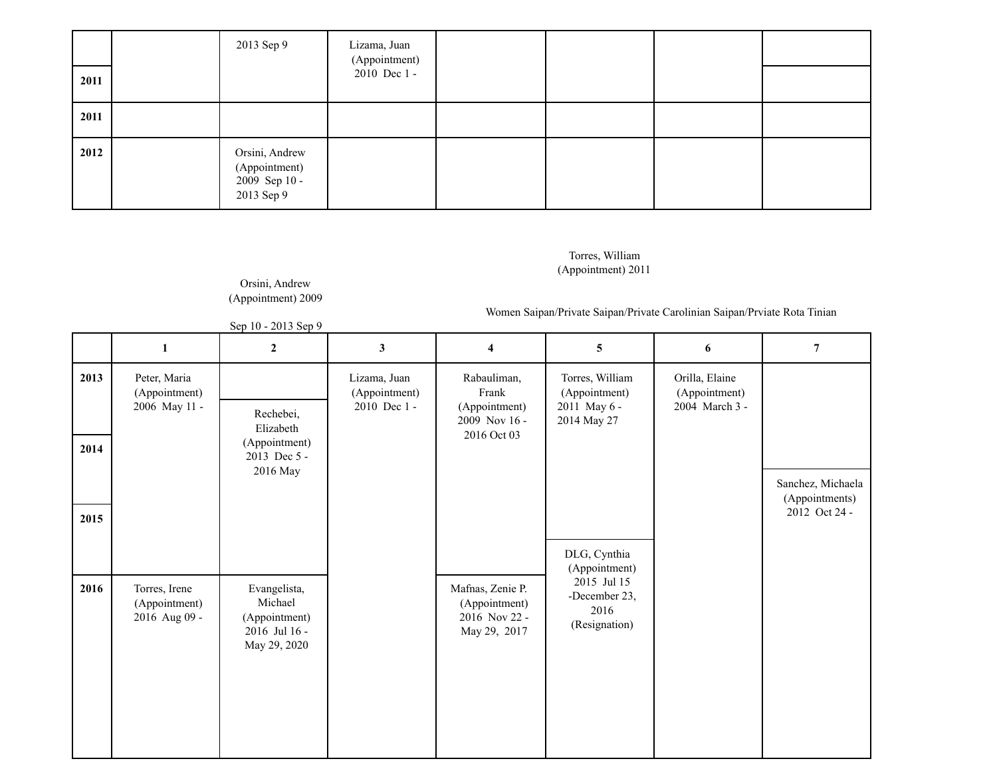|      | 2013 Sep 9                                                     | Lizama, Juan<br>(Appointment) |  |  |
|------|----------------------------------------------------------------|-------------------------------|--|--|
| 2011 |                                                                | 2010 Dec 1 -                  |  |  |
| 2011 |                                                                |                               |  |  |
| 2012 | Orsini, Andrew<br>(Appointment)<br>2009 Sep 10 -<br>2013 Sep 9 |                               |  |  |

## Torres, William (Appointment) 2011

## Orsini, Andrew (Appointment) 2009

Women Saipan/Private Saipan/Private Carolinian Saipan/Prviate Rota Tinian

|  | Sep 10 - 2013 Sep 9 |  |
|--|---------------------|--|
|  |                     |  |

|      | $\mathbf{1}$                                    | $\mathbf{2}$                                                              | 3                                             | 4                                                                     | 5                                                               | 6                                                 | $\overline{7}$ |
|------|-------------------------------------------------|---------------------------------------------------------------------------|-----------------------------------------------|-----------------------------------------------------------------------|-----------------------------------------------------------------|---------------------------------------------------|----------------|
| 2013 | Peter, Maria<br>(Appointment)<br>2006 May 11 -  | Rechebei,<br>Elizabeth                                                    | Lizama, Juan<br>(Appointment)<br>2010 Dec 1 - | Rabauliman,<br>Frank<br>(Appointment)<br>2009 Nov 16 -<br>2016 Oct 03 | Torres, William<br>(Appointment)<br>2011 May 6 -<br>2014 May 27 | Orilla, Elaine<br>(Appointment)<br>2004 March 3 - |                |
| 2014 |                                                 | (Appointment)<br>2013 Dec 5 -<br>2016 May                                 |                                               | Sanchez, Michaela<br>(Appointments)                                   |                                                                 |                                                   |                |
| 2015 |                                                 |                                                                           |                                               |                                                                       | DLG, Cynthia<br>(Appointment)                                   |                                                   | 2012 Oct 24 -  |
| 2016 | Torres, Irene<br>(Appointment)<br>2016 Aug 09 - | Evangelista,<br>Michael<br>(Appointment)<br>2016 Jul 16 -<br>May 29, 2020 |                                               | Mafnas, Zenie P.<br>(Appointment)<br>2016 Nov 22 -<br>May 29, 2017    | 2015 Jul 15<br>-December 23,<br>2016<br>(Resignation)           |                                                   |                |